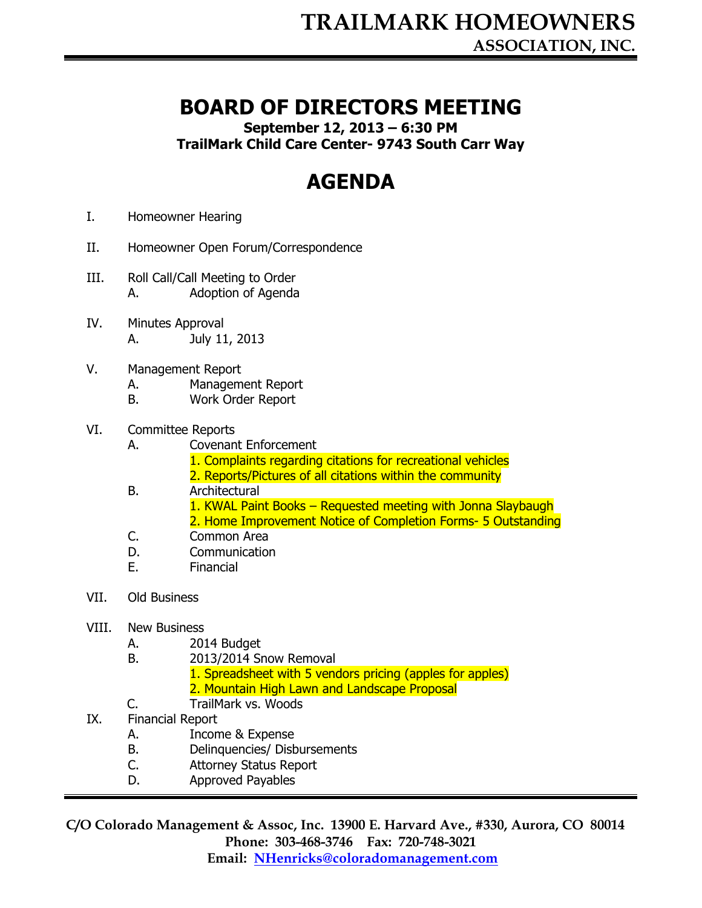## BOARD OF DIRECTORS MEETING

September 12, 2013 – 6:30 PM

TrailMark Child Care Center- 9743 South Carr Way

## AGENDA

- I. Homeowner Hearing
- II. Homeowner Open Forum/Correspondence
- III. Roll Call/Call Meeting to Order A. Adoption of Agenda
- IV. Minutes Approval A. July 11, 2013
- V. Management Report
	- A. Management Report
	- B. Work Order Report
- VI. Committee Reports
	- A. Covenant Enforcement
		- 1. Complaints regarding citations for recreational vehicles
		- 2. Reports/Pictures of all citations within the community
	- B. Architectural
		- 1. KWAL Paint Books Requested meeting with Jonna Slaybaugh
		- 2. Home Improvement Notice of Completion Forms- 5 Outstanding
	- C. Common Area
	- D. Communication
	- E. Financial
- VII. Old Business

## VIII. New Business

- A. 2014 Budget
- B. 2013/2014 Snow Removal
	- 1. Spreadsheet with 5 vendors pricing (apples for apples) 2. Mountain High Lawn and Landscape Proposal
- C. TrailMark vs. Woods
- IX. Financial Report
	- A. Income & Expense
	- B. Delinquencies/ Disbursements
	- C. Attorney Status Report
	- D. Approved Payables

C/O Colorado Management & Assoc, Inc. 13900 E. Harvard Ave., #330, Aurora, CO 80014 Phone: 303-468-3746 Fax: 720-748-3021 Email: NHenricks@coloradomanagement.com